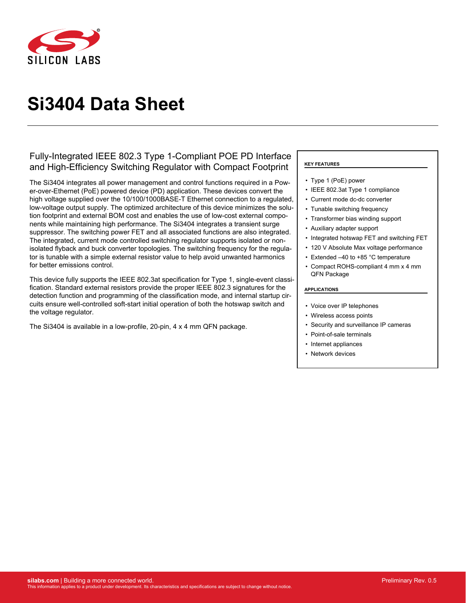

# **Si3404 Data Sheet**

## Fully-Integrated IEEE 802.3 Type 1-Compliant POE PD Interface and High-Efficiency Switching Regulator with Compact Footprint

The Si3404 integrates all power management and control functions required in a Power-over-Ethernet (PoE) powered device (PD) application. These devices convert the high voltage supplied over the 10/100/1000BASE-T Ethernet connection to a regulated, low-voltage output supply. The optimized architecture of this device minimizes the solution footprint and external BOM cost and enables the use of low-cost external components while maintaining high performance. The Si3404 integrates a transient surge suppressor. The switching power FET and all associated functions are also integrated. The integrated, current mode controlled switching regulator supports isolated or nonisolated flyback and buck converter topologies. The switching frequency for the regulator is tunable with a simple external resistor value to help avoid unwanted harmonics for better emissions control.

This device fully supports the IEEE 802.3at specification for Type 1, single-event classification. Standard external resistors provide the proper IEEE 802.3 signatures for the detection function and programming of the classification mode, and internal startup circuits ensure well-controlled soft-start initial operation of both the hotswap switch and the voltage regulator.

The Si3404 is available in a low-profile, 20-pin, 4 x 4 mm QFN package.

#### **KEY FEATURES**

- Type 1 (PoE) power
- IEEE 802.3at Type 1 compliance
- Current mode dc-dc converter
- Tunable switching frequency
- Transformer bias winding support
- Auxiliary adapter support
- Integrated hotswap FET and switching FET
- 120 V Absolute Max voltage performance
- Extended –40 to +85 °C temperature
- Compact ROHS-compliant 4 mm x 4 mm QFN Package

#### **APPLICATIONS**

- Voice over IP telephones
- Wireless access points
- Security and surveillance IP cameras
- Point-of-sale terminals
- Internet appliances
- Network devices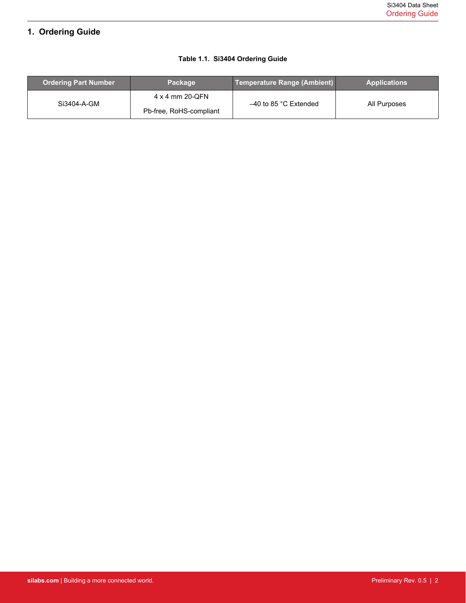# <span id="page-1-0"></span>**1. Ordering Guide**

## **Table 1.1. Si3404 Ordering Guide**

| <b>Ordering Part Number</b> | <b>Package</b>                             | Temperature Range (Ambient) | <b>Applications</b> |
|-----------------------------|--------------------------------------------|-----------------------------|---------------------|
| Si3404-A-GM                 | 4 x 4 mm 20-QFN<br>Pb-free, RoHS-compliant | $-40$ to 85 °C Extended     | All Purposes        |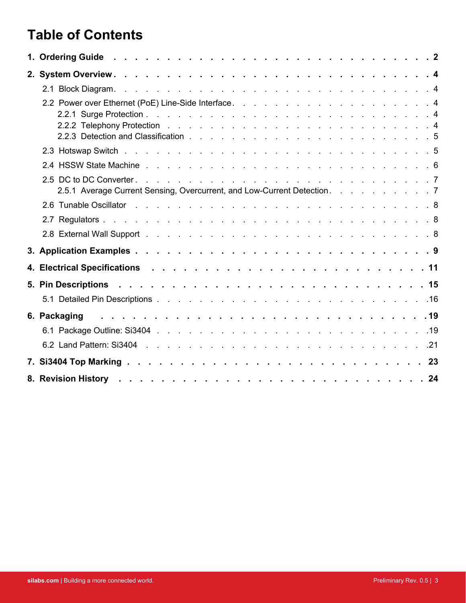# **Table of Contents**

| 2.5.1 Average Current Sensing, Overcurrent, and Low-Current Detection. 7                                        |  |
|-----------------------------------------------------------------------------------------------------------------|--|
|                                                                                                                 |  |
|                                                                                                                 |  |
|                                                                                                                 |  |
|                                                                                                                 |  |
|                                                                                                                 |  |
|                                                                                                                 |  |
|                                                                                                                 |  |
| 6. Packaging research research research research and the set of the set of the set of the set of the set of the |  |
|                                                                                                                 |  |
|                                                                                                                 |  |
|                                                                                                                 |  |
|                                                                                                                 |  |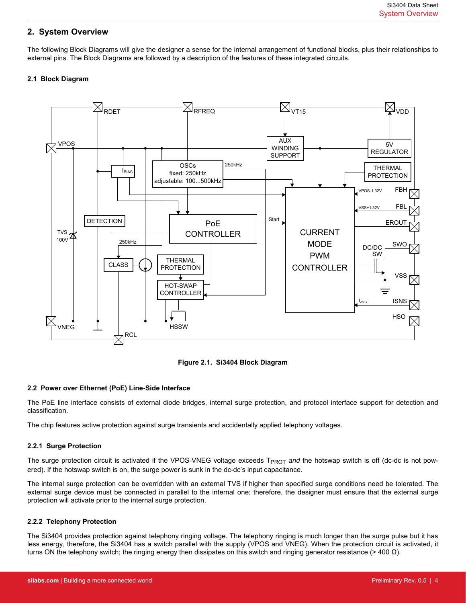## <span id="page-3-0"></span>**2. System Overview**

The following Block Diagrams will give the designer a sense for the internal arrangement of functional blocks, plus their relationships to external pins. The Block Diagrams are followed by a description of the features of these integrated circuits.

#### **2.1 Block Diagram**





#### **2.2 Power over Ethernet (PoE) Line-Side Interface**

The PoE line interface consists of external diode bridges, internal surge protection, and protocol interface support for detection and classification.

The chip features active protection against surge transients and accidentally applied telephony voltages.

#### **2.2.1 Surge Protection**

The surge protection circuit is activated if the VPOS-VNEG voltage exceeds T<sub>PROT</sub> and the hotswap switch is off (dc-dc is not powered). If the hotswap switch is on, the surge power is sunk in the dc-dc's input capacitance.

The internal surge protection can be overridden with an external TVS if higher than specified surge conditions need be tolerated. The external surge device must be connected in parallel to the internal one; therefore, the designer must ensure that the external surge protection will activate prior to the internal surge protection.

#### **2.2.2 Telephony Protection**

The Si3404 provides protection against telephony ringing voltage. The telephony ringing is much longer than the surge pulse but it has less energy, therefore, the Si3404 has a switch parallel with the supply (VPOS and VNEG). When the protection circuit is activated, it turns ON the telephony switch; the ringing energy then dissipates on this switch and ringing generator resistance (> 400  $\Omega$ ).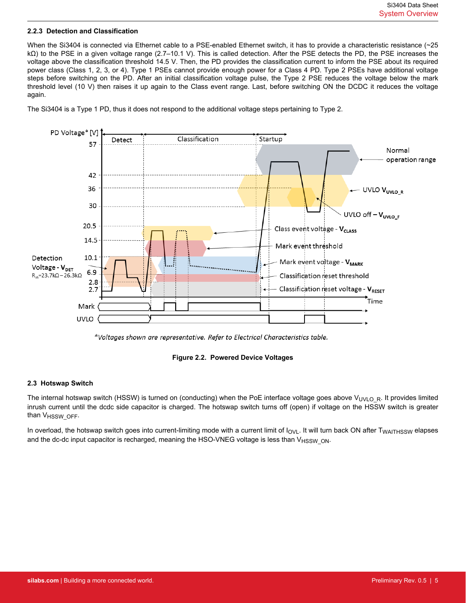#### <span id="page-4-0"></span>**2.2.3 Detection and Classification**

When the Si3404 is connected via Ethernet cable to a PSE-enabled Ethernet switch, it has to provide a characteristic resistance (~25 kΩ) to the PSE in a given voltage range (2.7–10.1 V). This is called detection. After the PSE detects the PD, the PSE increases the voltage above the classification threshold 14.5 V. Then, the PD provides the classification current to inform the PSE about its required power class (Class 1, 2, 3, or 4). Type 1 PSEs cannot provide enough power for a Class 4 PD. Type 2 PSEs have additional voltage steps before switching on the PD. After an initial classification voltage pulse, the Type 2 PSE reduces the voltage below the mark threshold level (10 V) then raises it up again to the Class event range. Last, before switching ON the DCDC it reduces the voltage again.





<sup>\*</sup>Voltages shown are representative. Refer to Electrical Characteristics table.



#### **2.3 Hotswap Switch**

The internal hotswap switch (HSSW) is turned on (conducting) when the PoE interface voltage goes above V<sub>UVLOR</sub>. It provides limited inrush current until the dcdc side capacitor is charged. The hotswap switch turns off (open) if voltage on the HSSW switch is greater than  $V_{HSSW$  OFF.

In overload, the hotswap switch goes into current-limiting mode with a current limit of  $I_{\text{OVL}}$ . It will turn back ON after  $T_{\text{WAITHSSW}}$  elapses and the dc-dc input capacitor is recharged, meaning the HSO-VNEG voltage is less than V<sub>HSSW</sub> ON.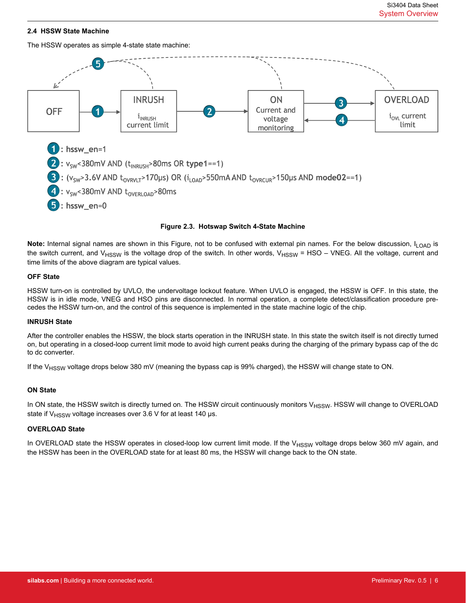#### <span id="page-5-0"></span>**2.4 HSSW State Machine**

The HSSW operates as simple 4-state state machine:



#### **Figure 2.3. Hotswap Switch 4-State Machine**

Note: Internal signal names are shown in this Figure, not to be confused with external pin names. For the below discussion, I<sub>LOAD</sub> is the switch current, and  $V_{HSSW}$  is the voltage drop of the switch. In other words,  $V_{HSSW}$  = HSO – VNEG. All the voltage, current and time limits of the above diagram are typical values.

#### **OFF State**

HSSW turn-on is controlled by UVLO, the undervoltage lockout feature. When UVLO is engaged, the HSSW is OFF. In this state, the HSSW is in idle mode, VNEG and HSO pins are disconnected. In normal operation, a complete detect/classification procedure precedes the HSSW turn-on, and the control of this sequence is implemented in the state machine logic of the chip.

#### **INRUSH State**

After the controller enables the HSSW, the block starts operation in the INRUSH state. In this state the switch itself is not directly turned on, but operating in a closed-loop current limit mode to avoid high current peaks during the charging of the primary bypass cap of the dc to dc converter.

If the V<sub>HSSW</sub> voltage drops below 380 mV (meaning the bypass cap is 99% charged), the HSSW will change state to ON.

#### **ON State**

In ON state, the HSSW switch is directly turned on. The HSSW circuit continuously monitors  $V_{HSSW}$ . HSSW will change to OVERLOAD state if  $V_{HSSW}$  voltage increases over 3.6 V for at least 140 µs.

#### **OVERLOAD State**

In OVERLOAD state the HSSW operates in closed-loop low current limit mode. If the V<sub>HSSW</sub> voltage drops below 360 mV again, and the HSSW has been in the OVERLOAD state for at least 80 ms, the HSSW will change back to the ON state.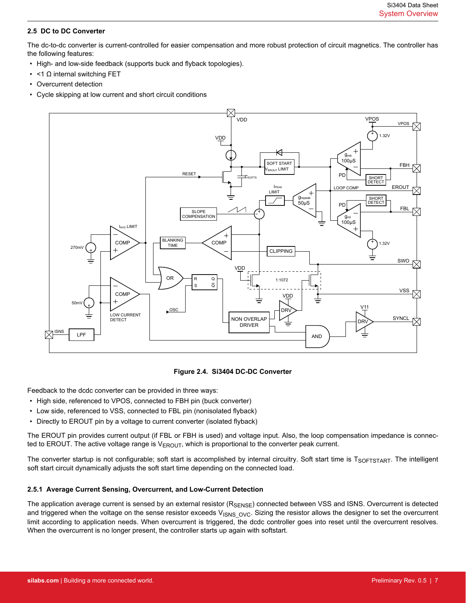#### <span id="page-6-0"></span>**2.5 DC to DC Converter**

The dc-to-dc converter is current-controlled for easier compensation and more robust protection of circuit magnetics. The controller has the following features:

- High- and low-side feedback (supports buck and flyback topologies).
- <1 Ω internal switching FET
- Overcurrent detection
- Cycle skipping at low current and short circuit conditions



#### **Figure 2.4. Si3404 DC-DC Converter**

Feedback to the dcdc converter can be provided in three ways:

- High side, referenced to VPOS, connected to FBH pin (buck converter)
- Low side, referenced to VSS, connected to FBL pin (nonisolated flyback)
- Directly to EROUT pin by a voltage to current converter (isolated flyback)

The EROUT pin provides current output (if FBL or FBH is used) and voltage input. Also, the loop compensation impedance is connected to EROUT. The active voltage range is  $V_{EROUT}$ , which is proportional to the converter peak current.

The converter startup is not configurable; soft start is accomplished by internal circuitry. Soft start time is TSOFTSTART. The intelligent soft start circuit dynamically adjusts the soft start time depending on the connected load.

#### **2.5.1 Average Current Sensing, Overcurrent, and Low-Current Detection**

The application average current is sensed by an external resistor  $(R_{\text{SFRSF}})$  connected between VSS and ISNS. Overcurrent is detected and triggered when the voltage on the sense resistor exceeds  $V_{\text{ISNS OVC}}$ . Sizing the resistor allows the designer to set the overcurrent limit according to application needs. When overcurrent is triggered, the dcdc controller goes into reset until the overcurrent resolves. When the overcurrent is no longer present, the controller starts up again with softstart.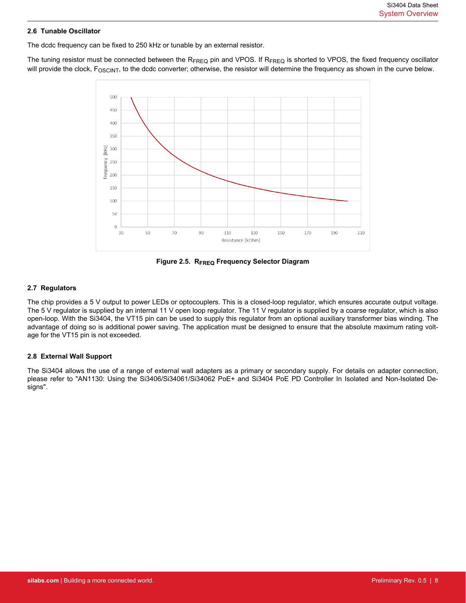#### <span id="page-7-0"></span>**2.6 Tunable Oscillator**

The dcdc frequency can be fixed to 250 kHz or tunable by an external resistor.

The tuning resistor must be connected between the R<sub>FREQ</sub> pin and VPOS. If R<sub>FREQ</sub> is shorted to VPOS, the fixed frequency oscillator will provide the clock, F<sub>OSCINT</sub>, to the dcdc converter; otherwise, the resistor will determine the frequency as shown in the curve below.



**Figure 2.5. RFREQ Frequency Selector Diagram**

#### **2.7 Regulators**

The chip provides a 5 V output to power LEDs or optocouplers. This is a closed-loop regulator, which ensures accurate output voltage. The 5 V regulator is supplied by an internal 11 V open loop regulator. The 11 V regulator is supplied by a coarse regulator, which is also open-loop. With the Si3404, the VT15 pin can be used to supply this regulator from an optional auxiliary transformer bias winding. The advantage of doing so is additional power saving. The application must be designed to ensure that the absolute maximum rating voltage for the VT15 pin is not exceeded.

#### **2.8 External Wall Support**

The Si3404 allows the use of a range of external wall adapters as a primary or secondary supply. For details on adapter connection, please refer to "AN1130: Using the Si3406/Si34061/Si34062 PoE+ and Si3404 PoE PD Controller In Isolated and Non-Isolated Designs".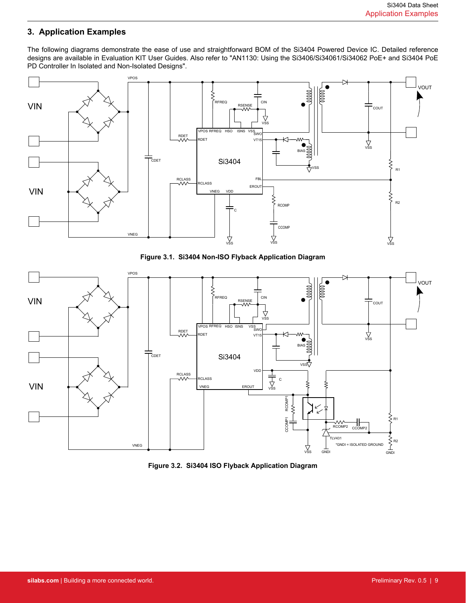## <span id="page-8-0"></span>**3. Application Examples**

The following diagrams demonstrate the ease of use and straightforward BOM of the Si3404 Powered Device IC. Detailed reference designs are available in Evaluation KIT User Guides. Also refer to "AN1130: Using the Si3406/Si34061/Si34062 PoE+ and Si3404 PoE PD Controller In Isolated and Non-Isolated Designs".



**Figure 3.1. Si3404 Non-ISO Flyback Application Diagram**



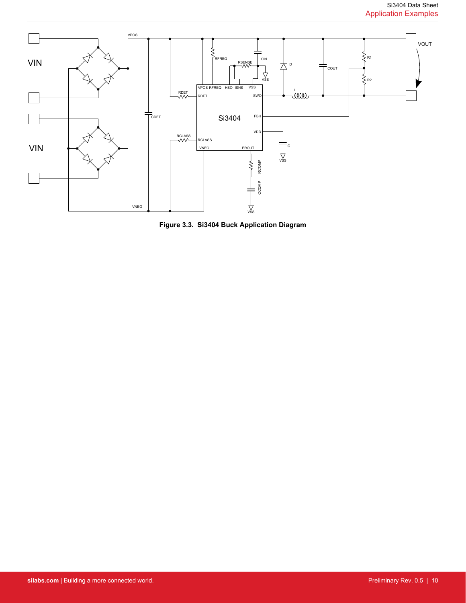

**Figure 3.3. Si3404 Buck Application Diagram**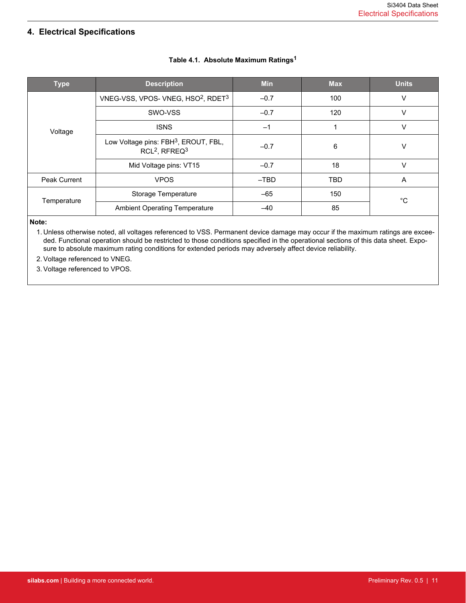# <span id="page-10-0"></span>**4. Electrical Specifications**

| <b>Type</b>         | <b>Description</b>                                                              | <b>Min</b> | <b>Max</b> | <b>Units</b> |
|---------------------|---------------------------------------------------------------------------------|------------|------------|--------------|
|                     | VNEG-VSS, VPOS-VNEG, HSO <sup>2</sup> , RDET <sup>3</sup>                       | $-0.7$     | 100        | v            |
|                     | SWO-VSS                                                                         | $-0.7$     | 120        | ν            |
| Voltage             | <b>ISNS</b>                                                                     | $-1$       |            | V            |
|                     | Low Voltage pins: FBH <sup>3</sup> , EROUT, FBL,<br>$RCL2$ , RFREQ <sup>3</sup> | $-0.7$     | 6          | ٧            |
|                     | Mid Voltage pins: VT15                                                          | $-0.7$     | 18         | v            |
| <b>Peak Current</b> | <b>VPOS</b>                                                                     | $-TBD$     | <b>TBD</b> | A            |
| Temperature         | Storage Temperature                                                             | $-65$      | 150        | °C           |
|                     | <b>Ambient Operating Temperature</b>                                            | $-40$      | 85         |              |

## **Table 4.1. Absolute Maximum Ratings<sup>1</sup>**

#### **Note:**

1. Unless otherwise noted, all voltages referenced to VSS. Permanent device damage may occur if the maximum ratings are exceeded. Functional operation should be restricted to those conditions specified in the operational sections of this data sheet. Exposure to absolute maximum rating conditions for extended periods may adversely affect device reliability.

2. Voltage referenced to VNEG.

3. Voltage referenced to VPOS.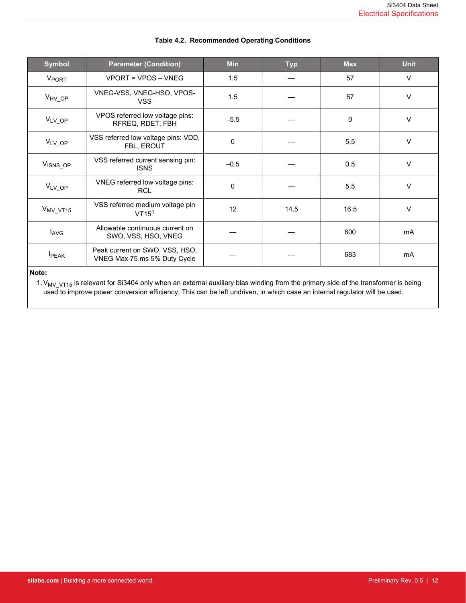<span id="page-11-0"></span>

| <b>Symbol</b>        | <b>Parameter (Condition)</b>                                   | <b>Min</b> | <b>Typ</b> | <b>Max</b> | <b>Unit</b> |
|----------------------|----------------------------------------------------------------|------------|------------|------------|-------------|
| V <sub>PORT</sub>    | VPORT = VPOS - VNEG                                            | 1.5        |            | 57         | V           |
| V <sub>HV</sub> OP   | VNEG-VSS, VNEG-HSO, VPOS-<br><b>VSS</b>                        | 1.5        |            | 57         | V           |
| V <sub>LV</sub> OP   | VPOS referred low voltage pins:<br>RFREQ, RDET, FBH            | $-5.5$     |            | 0          | V           |
| V <sub>LV</sub> OP   | VSS referred low voltage pins: VDD,<br>FBL, EROUT              | $\Omega$   |            | 5.5        | $\vee$      |
| V <sub>ISNS_OP</sub> | VSS referred current sensing pin:<br><b>ISNS</b>               | $-0.5$     |            | 0.5        | $\vee$      |
| $V_{LV,OP}$          | VNEG referred low voltage pins:<br><b>RCL</b>                  | 0          |            | 5.5        | $\vee$      |
| V <sub>MV_VT15</sub> | VSS referred medium voltage pin<br>VT15 <sup>1</sup>           | 12         | 14.5       | 16.5       | $\vee$      |
| $I_{\text{AVG}}$     | Allowable continuous current on<br>SWO, VSS, HSO, VNEG         |            |            | 600        | mA          |
| <b>I</b> PEAK        | Peak current on SWO, VSS, HSO,<br>VNEG Max 75 ms 5% Duty Cycle |            |            | 683        | mA          |
| Note:                |                                                                |            |            |            |             |

#### **Table 4.2. Recommended Operating Conditions**

1.VMV\_VT15 is relevant for Si3404 only when an external auxiliary bias winding from the primary side of the transformer is being used to improve power conversion efficiency. This can be left undriven, in which case an internal regulator will be used.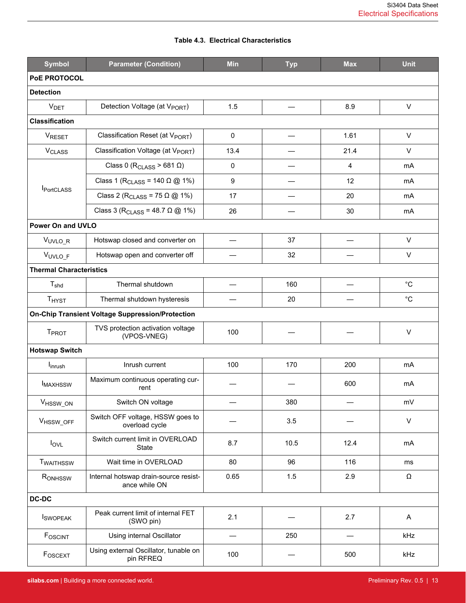<span id="page-12-0"></span>

| <b>Symbol</b>                  | <b>Parameter (Condition)</b>                            |                                           | <b>Typ</b> | <b>Max</b>     | <b>Unit</b>  |  |  |  |  |
|--------------------------------|---------------------------------------------------------|-------------------------------------------|------------|----------------|--------------|--|--|--|--|
| <b>PoE PROTOCOL</b>            |                                                         |                                           |            |                |              |  |  |  |  |
| <b>Detection</b>               |                                                         |                                           |            |                |              |  |  |  |  |
| <b>V<sub>DET</sub></b>         | Detection Voltage (at V <sub>PORT</sub> )               | 1.5                                       |            | 8.9            | $\mathsf{V}$ |  |  |  |  |
| <b>Classification</b>          |                                                         |                                           |            |                |              |  |  |  |  |
| VRESET                         | Classification Reset (at V <sub>PORT</sub> )            | $\mathbf 0$                               |            | 1.61           | $\vee$       |  |  |  |  |
| <b>V<sub>CLASS</sub></b>       | Classification Voltage (at V <sub>PORT</sub> )          | 13.4                                      |            | 21.4           | $\vee$       |  |  |  |  |
|                                | Class 0 ( $R_{\text{CLASS}}$ > 681 $\Omega$ )           | $\mathbf 0$                               |            | $\overline{4}$ | <b>mA</b>    |  |  |  |  |
|                                | Class 1 (R <sub>CLASS</sub> = 140 $\Omega$ @ 1%)        | 9                                         |            | 12             | mA           |  |  |  |  |
| <b>I</b> PortCLASS             | Class 2 (R <sub>CLASS</sub> = 75 $\Omega$ @ 1%)         | 17                                        |            | 20             | mA           |  |  |  |  |
|                                | Class 3 (R <sub>CLASS</sub> = 48.7 $\Omega$ @ 1%)       | 26                                        |            | 30             | mA           |  |  |  |  |
| <b>Power On and UVLO</b>       |                                                         |                                           |            |                |              |  |  |  |  |
| VUVLO_R                        | Hotswap closed and converter on                         | $\qquad \qquad \overline{\qquad \qquad }$ | 37         |                | $\vee$       |  |  |  |  |
| VUVLO_F                        | Hotswap open and converter off                          |                                           | 32         |                | V            |  |  |  |  |
| <b>Thermal Characteristics</b> |                                                         |                                           |            |                |              |  |  |  |  |
| T <sub>shd</sub>               | Thermal shutdown                                        |                                           | 160        |                | $^{\circ}C$  |  |  |  |  |
| <b>THYST</b>                   | Thermal shutdown hysteresis                             |                                           | 20         |                | $^{\circ}C$  |  |  |  |  |
|                                | <b>On-Chip Transient Voltage Suppression/Protection</b> |                                           |            |                |              |  |  |  |  |
| <b>T</b> <sub>PROT</sub>       | TVS protection activation voltage<br>(VPOS-VNEG)        | 100                                       |            |                | $\vee$       |  |  |  |  |
| <b>Hotswap Switch</b>          |                                                         |                                           |            |                |              |  |  |  |  |
| l <sub>inrush</sub>            | Inrush current                                          | 100                                       | 170        | 200            | mA           |  |  |  |  |
| <b>IMAXHSSW</b>                | Maximum continuous operating cur-<br>rent               |                                           |            | 600            | mA           |  |  |  |  |
| V <sub>HSSW_ON</sub>           | Switch ON voltage                                       |                                           | 380        |                | mV           |  |  |  |  |
| VHSSW_OFF                      | Switch OFF voltage, HSSW goes to<br>overload cycle      |                                           | 3.5        |                | $\mathsf{V}$ |  |  |  |  |
| $I_{\text{OVL}}$               | Switch current limit in OVERLOAD<br>State               | 8.7                                       | 10.5       | 12.4           | mA           |  |  |  |  |
| <b>TWAITHSSW</b>               | Wait time in OVERLOAD                                   | 80                                        | 96         | 116            | ms           |  |  |  |  |
| RONHSSW                        | Internal hotswap drain-source resist-<br>ance while ON  | 0.65                                      | 1.5        | 2.9            | $\Omega$     |  |  |  |  |
| <b>DC-DC</b>                   |                                                         |                                           |            |                |              |  |  |  |  |
| <b>I</b> SWOPEAK               | Peak current limit of internal FET<br>(SWO pin)         | 2.1                                       |            | 2.7            | A            |  |  |  |  |
| FOSCINT                        | Using internal Oscillator                               | $\overline{\phantom{0}}$                  | 250        |                | kHz          |  |  |  |  |
| FOSCEXT                        | Using external Oscillator, tunable on<br>pin RFREQ      | 100                                       |            | 500            | kHz          |  |  |  |  |

## **Table 4.3. Electrical Characteristics**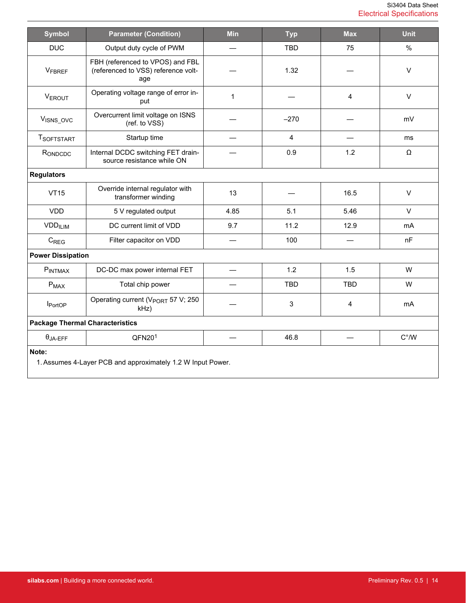| <b>Symbol</b>                          | <b>Parameter (Condition)</b>                                                   | <b>Min</b>               | <b>Typ</b>              | <b>Max</b>     | <b>Unit</b>   |
|----------------------------------------|--------------------------------------------------------------------------------|--------------------------|-------------------------|----------------|---------------|
| <b>DUC</b>                             | Output duty cycle of PWM                                                       | $\overline{\phantom{0}}$ | <b>TBD</b>              | 75             | $\%$          |
| <b>VFBREF</b>                          | FBH (referenced to VPOS) and FBL<br>(referenced to VSS) reference volt-<br>age |                          | 1.32                    |                | V             |
| <b>VEROUT</b>                          | Operating voltage range of error in-<br>put                                    | $\mathbf{1}$             |                         | $\overline{4}$ | $\mathsf{V}$  |
| V <sub>ISNS_OVC</sub>                  | Overcurrent limit voltage on ISNS<br>(ref. to VSS)                             |                          | $-270$                  |                | mV            |
| <b>TSOFTSTART</b>                      | Startup time                                                                   |                          | $\overline{\mathbf{4}}$ |                | ms            |
| RONDCDC                                | Internal DCDC switching FET drain-<br>source resistance while ON               |                          | 0.9                     | 1.2            | Ω             |
| <b>Regulators</b>                      |                                                                                |                          |                         |                |               |
| <b>VT15</b>                            | Override internal regulator with<br>transformer winding                        | 13                       |                         | 16.5           | $\mathsf{V}$  |
| <b>VDD</b>                             | 5 V regulated output                                                           | 4.85                     | 5.1                     | 5.46           | $\vee$        |
| <b>VDD<sub>ILIM</sub></b>              | DC current limit of VDD                                                        | 9.7                      | 11.2                    | 12.9           | mA            |
| $C_{\text{REG}}$                       | Filter capacitor on VDD                                                        |                          | 100                     |                | nF            |
| <b>Power Dissipation</b>               |                                                                                |                          |                         |                |               |
| <b>PINTMAX</b>                         | DC-DC max power internal FET                                                   |                          | 1.2                     | 1.5            | W             |
| $P_{MAX}$                              | Total chip power                                                               |                          | <b>TBD</b>              | <b>TBD</b>     | W             |
| <b>I</b> PortOP                        | Operating current (V <sub>PORT</sub> 57 V; 250<br>$kHz$ )                      |                          | 3                       | $\overline{4}$ | mA            |
| <b>Package Thermal Characteristics</b> |                                                                                |                          |                         |                |               |
| $\theta_{JA-EFF}$                      | QFN20 <sup>1</sup>                                                             |                          | 46.8                    |                | $C^{\circ}/W$ |
| Note:                                  | 1. Assumes 4-Layer PCB and approximately 1.2 W Input Power.                    |                          |                         |                |               |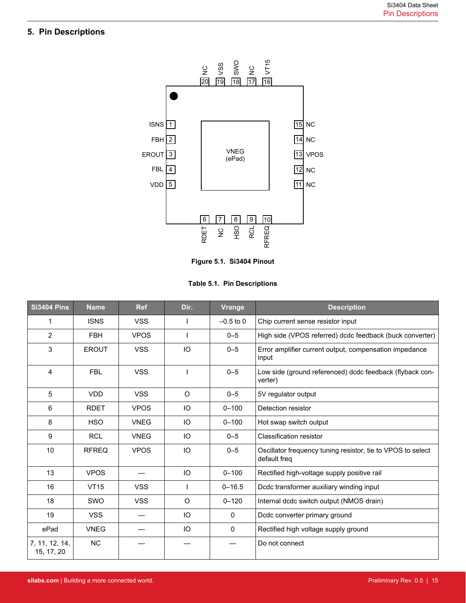## <span id="page-14-0"></span>**5. Pin Descriptions**



**Figure 5.1. Si3404 Pinout**

**Table 5.1. Pin Descriptions**

| <b>Si3404 Pins</b>           | <b>Name</b>  | <b>Ref</b>  | Dir.      | <b>Vrange</b> | <b>Description</b>                                                          |
|------------------------------|--------------|-------------|-----------|---------------|-----------------------------------------------------------------------------|
| 1                            | <b>ISNS</b>  | <b>VSS</b>  |           | $-0.5$ to 0   | Chip current sense resistor input                                           |
| $\overline{2}$               | <b>FBH</b>   | <b>VPOS</b> |           | $0 - 5$       | High side (VPOS referred) dcdc feedback (buck converter)                    |
| 3                            | <b>EROUT</b> | <b>VSS</b>  | IO        | $0 - 5$       | Error amplifier current output, compensation impedance<br>input             |
| 4                            | <b>FBL</b>   | <b>VSS</b>  |           | $0 - 5$       | Low side (ground referenced) dcdc feedback (flyback con-<br>verter)         |
| 5                            | <b>VDD</b>   | <b>VSS</b>  | $\circ$   | $0 - 5$       | 5V regulator output                                                         |
| 6                            | <b>RDET</b>  | <b>VPOS</b> | IO        | $0 - 100$     | Detection resistor                                                          |
| 8                            | <b>HSO</b>   | <b>VNEG</b> | IO        | $0 - 100$     | Hot swap switch output                                                      |
| 9                            | <b>RCL</b>   | <b>VNEG</b> | IO        | $0 - 5$       | <b>Classification resistor</b>                                              |
| 10                           | <b>RFREQ</b> | <b>VPOS</b> | IO        | $0 - 5$       | Oscillator frequency tuning resistor, tie to VPOS to select<br>default freg |
| 13                           | <b>VPOS</b>  |             | IO        | $0 - 100$     | Rectified high-voltage supply positive rail                                 |
| 16                           | <b>VT15</b>  | <b>VSS</b>  |           | $0 - 16.5$    | Dcdc transformer auxiliary winding input                                    |
| 18                           | <b>SWO</b>   | <b>VSS</b>  | $\circ$   | $0 - 120$     | Internal dcdc switch output (NMOS drain)                                    |
| 19                           | <b>VSS</b>   |             | <b>IO</b> | 0             | Dcdc converter primary ground                                               |
| ePad                         | <b>VNEG</b>  |             | IO        | $\mathbf{0}$  | Rectified high voltage supply ground                                        |
| 7, 11, 12, 14,<br>15, 17, 20 | NC           |             |           |               | Do not connect                                                              |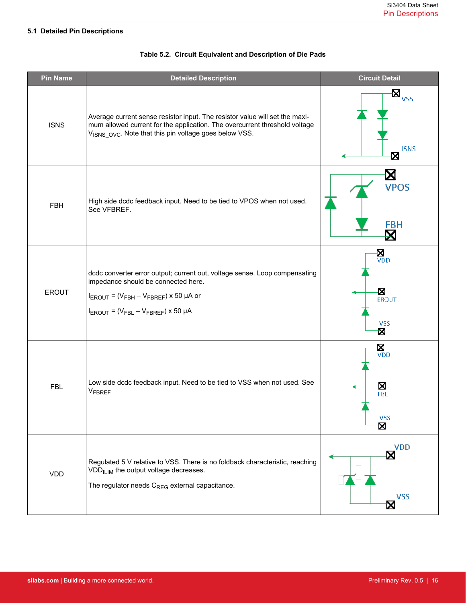## <span id="page-15-0"></span>**5.1 Detailed Pin Descriptions**

| <b>Pin Name</b> | <b>Detailed Description</b>                                                                                                                                                                                                                | <b>Circuit Detail</b>                                   |
|-----------------|--------------------------------------------------------------------------------------------------------------------------------------------------------------------------------------------------------------------------------------------|---------------------------------------------------------|
| <b>ISNS</b>     | Average current sense resistor input. The resistor value will set the maxi-<br>mum allowed current for the application. The overcurrent threshold voltage<br>V <sub>ISNS</sub> <sub>OVC</sub> . Note that this pin voltage goes below VSS. | $-\boxtimes_{_{\text{VSS}}}$<br><b>ISNS</b><br>Ø        |
| <b>FBH</b>      | High side dcdc feedback input. Need to be tied to VPOS when not used.<br>See VFBREF.                                                                                                                                                       | ⊠<br><b>VPOS</b><br><b>FBH</b><br>⊠                     |
| <b>EROUT</b>    | dcdc converter error output; current out, voltage sense. Loop compensating<br>impedance should be connected here.<br>$I_{EROUT}$ = ( $V_{FBH}$ – $V_{FBREF}$ ) x 50 µA or<br>$I_{EROUT} = (V_{FBL} - V_{FBREF}) \times 50 \mu A$           | Χ<br>$\overline{V}$ DD<br>Ø<br>EROUT<br><b>VSS</b><br>Χ |
| <b>FBL</b>      | Low side dcdc feedback input. Need to be tied to VSS when not used. See<br><b>VFBREF</b>                                                                                                                                                   | <b>N</b><br>VDD<br>X<br><b>FBL</b><br><b>VSS</b><br>Χ   |
| <b>VDD</b>      | Regulated 5 V relative to VSS. There is no foldback characteristic, reaching<br>VDD <sub>ILIM</sub> the output voltage decreases.<br>The regulator needs C <sub>REG</sub> external capacitance.                                            | <b>VDD</b><br>⊠<br><b>VSS</b><br>⊠                      |

## **Table 5.2. Circuit Equivalent and Description of Die Pads**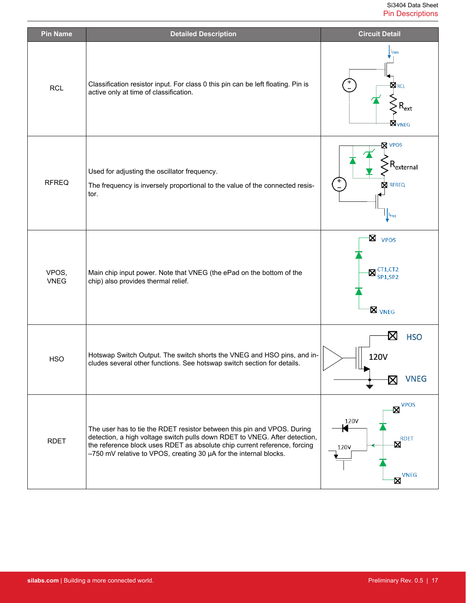| <b>Pin Name</b>      | <b>Detailed Description</b>                                                                                                                                                                                                                                                                             | <b>Circuit Detail</b>                                                                                   |
|----------------------|---------------------------------------------------------------------------------------------------------------------------------------------------------------------------------------------------------------------------------------------------------------------------------------------------------|---------------------------------------------------------------------------------------------------------|
| <b>RCL</b>           | Classification resistor input. For class 0 this pin can be left floating. Pin is<br>active only at time of classification.                                                                                                                                                                              | <sup>1</sup> class<br>$\boxtimes$ rcl<br>$\mathsf{R}_{\mathsf{ext}}$<br>$\boxtimes_{\textsf{VNEG}}$     |
| <b>RFREQ</b>         | Used for adjusting the oscillator frequency.<br>The frequency is inversely proportional to the value of the connected resis-<br>tor.                                                                                                                                                                    | <b>X</b> VPOS<br>$\mathsf{R}_{\mathsf{external}}$<br><b>RFREQ</b><br>X<br>$\mathbf{I}$ <sup>Ifreq</sup> |
| VPOS,<br><b>VNEG</b> | Main chip input power. Note that VNEG (the ePad on the bottom of the<br>chip) also provides thermal relief.                                                                                                                                                                                             | Ŋ<br>VPOS<br>$\mathbf{Z}^{\text{CT1,CT2}}_{\text{SP1,SP2}}$<br>$\boxtimes$ vneg                         |
| <b>HSO</b>           | Hotswap Switch Output. The switch shorts the VNEG and HSO pins, and in-<br>cludes several other functions. See hotswap switch section for details.                                                                                                                                                      | X<br><b>HSO</b><br>120V<br>╹╙┓<br><b>VNEG</b><br>⋈                                                      |
| <b>RDET</b>          | The user has to tie the RDET resistor between this pin and VPOS. During<br>detection, a high voltage switch pulls down RDET to VNEG. After detection,<br>the reference block uses RDET as absolute chip current reference, forcing<br>-750 mV relative to VPOS, creating 30 µA for the internal blocks. | $-\mathbf{Z}^{\text{VPOS}}$<br>120V<br>К<br><b>RDET</b><br>X<br>120V<br><b>VNEG</b><br>X                |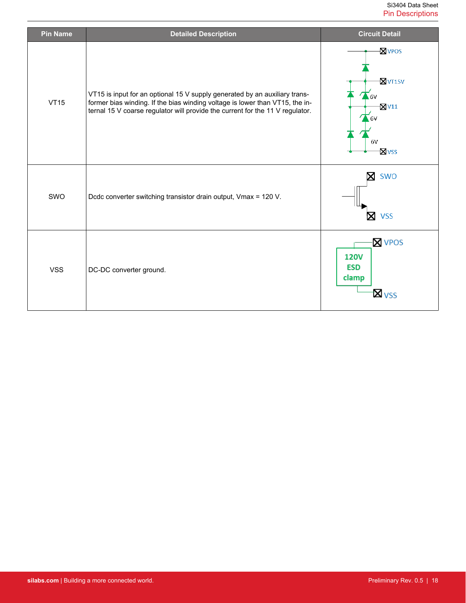| <b>Pin Name</b> | <b>Detailed Description</b>                                                                                                                                                                                                                 | <b>Circuit Detail</b>                                                                                   |
|-----------------|---------------------------------------------------------------------------------------------------------------------------------------------------------------------------------------------------------------------------------------------|---------------------------------------------------------------------------------------------------------|
| <b>VT15</b>     | VT15 is input for an optional 15 V supply generated by an auxiliary trans-<br>former bias winding. If the bias winding voltage is lower than VT15, the in-<br>ternal 15 V coarse regulator will provide the current for the 11 V regulator. | <b>N</b> vpos<br>$\sqrt{2}$ VT15V<br>$\sum$ 6V<br>$\sqrt{2}$ V11<br>6V<br>6V<br><b>X</b> <sub>VSS</sub> |
| SWO             | Dcdc converter switching transistor drain output, Vmax = 120 V.                                                                                                                                                                             | SWO<br>⊠<br><b>VSS</b>                                                                                  |
| <b>VSS</b>      | DC-DC converter ground.                                                                                                                                                                                                                     | <b>X</b> VPOS<br><b>120V</b><br><b>ESD</b><br>clamp<br><b>X</b> <sub>VSS</sub>                          |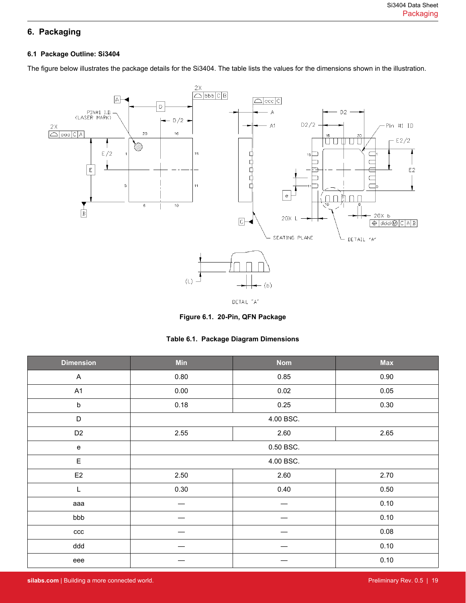# <span id="page-18-0"></span>**6. Packaging**

#### **6.1 Package Outline: Si3404**

The figure below illustrates the package details for the Si3404. The table lists the values for the dimensions shown in the illustration.



**Figure 6.1. 20-Pin, QFN Package**

|  |  |  | Table 6.1. Package Diagram Dimensions |
|--|--|--|---------------------------------------|
|--|--|--|---------------------------------------|

| <b>Dimension</b> | <b>Min</b> | <b>Nom</b> | <b>Max</b> |  |
|------------------|------------|------------|------------|--|
| $\mathsf{A}$     | 0.80       | 0.85       | 0.90       |  |
| A1               | 0.00       | 0.02       | 0.05       |  |
| $\sf b$          | 0.18       | 0.25       | 0.30       |  |
| D                |            | 4.00 BSC.  |            |  |
| D <sub>2</sub>   | 2.55       | 2.60       | 2.65       |  |
| ${\bf e}$        |            | 0.50 BSC.  |            |  |
| $\mathsf E$      | 4.00 BSC.  |            |            |  |
| E <sub>2</sub>   | 2.50       | 2.60       | 2.70       |  |
| L                | 0.30       | 0.40       | 0.50       |  |
| aaa              |            |            | 0.10       |  |
| bbb              |            |            | 0.10       |  |
| ccc              |            |            | 0.08       |  |
| ddd              |            |            | 0.10       |  |
| eee              |            |            | 0.10       |  |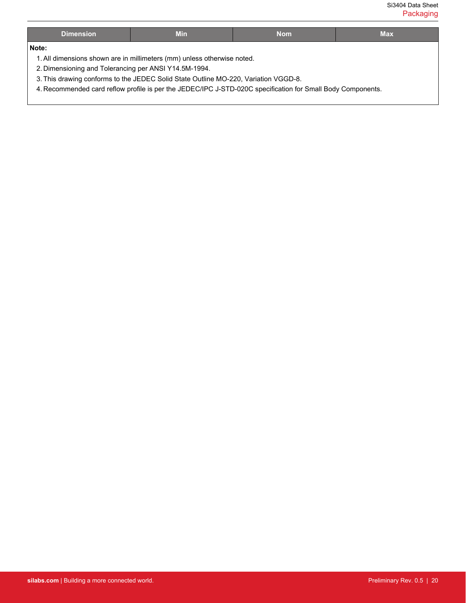Si3404 Data Sheet Packaging

| <b>Dimension</b>                                                                                            | <b>Min</b>                                                              | <b>Nom</b> | <b>Max</b> |
|-------------------------------------------------------------------------------------------------------------|-------------------------------------------------------------------------|------------|------------|
| Note:                                                                                                       |                                                                         |            |            |
|                                                                                                             | 1. All dimensions shown are in millimeters (mm) unless otherwise noted. |            |            |
| 2. Dimensioning and Tolerancing per ANSI Y14.5M-1994.                                                       |                                                                         |            |            |
| 3. This drawing conforms to the JEDEC Solid State Outline MO-220, Variation VGGD-8.                         |                                                                         |            |            |
| 4. Recommended card reflow profile is per the JEDEC/IPC J-STD-020C specification for Small Body Components. |                                                                         |            |            |
|                                                                                                             |                                                                         |            |            |

I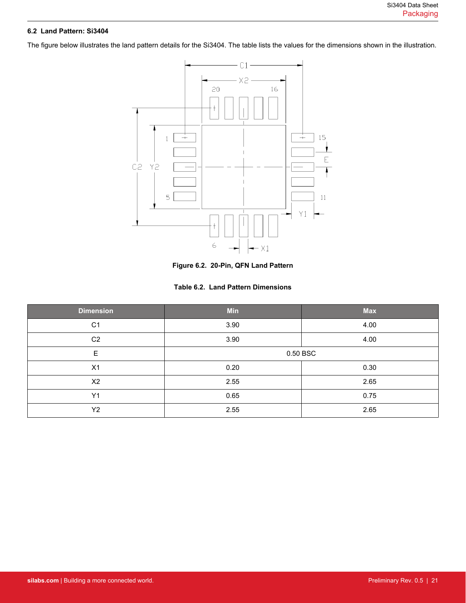### <span id="page-20-0"></span>**6.2 Land Pattern: Si3404**

The figure below illustrates the land pattern details for the Si3404. The table lists the values for the dimensions shown in the illustration.



**Figure 6.2. 20-Pin, QFN Land Pattern**

|  |  |  | Table 6.2. Land Pattern Dimensions |
|--|--|--|------------------------------------|
|--|--|--|------------------------------------|

| <b>Dimension</b> | <b>Min</b> | <b>Max</b> |  |
|------------------|------------|------------|--|
| C <sub>1</sub>   | 3.90       | 4.00       |  |
| C <sub>2</sub>   | 3.90       | 4.00       |  |
| $\mathsf E$      | 0.50 BSC   |            |  |
| X1               | 0.20       | 0.30       |  |
| X <sub>2</sub>   | 2.55       | 2.65       |  |
| Y1               | 0.65       | 0.75       |  |
| Y <sub>2</sub>   | 2.55       | 2.65       |  |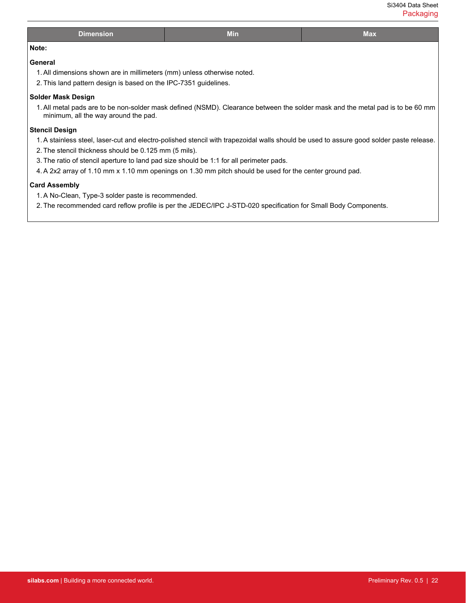| Si3404 Data Sheet |
|-------------------|
| Packaging         |

| <b>Dimension</b>                                                                                                                                                       | <b>Min</b> | <b>Max</b>                                                                                                                              |  |
|------------------------------------------------------------------------------------------------------------------------------------------------------------------------|------------|-----------------------------------------------------------------------------------------------------------------------------------------|--|
| Note:                                                                                                                                                                  |            |                                                                                                                                         |  |
| General                                                                                                                                                                |            |                                                                                                                                         |  |
| 1. All dimensions shown are in millimeters (mm) unless otherwise noted.                                                                                                |            |                                                                                                                                         |  |
| 2. This land pattern design is based on the IPC-7351 guidelines.                                                                                                       |            |                                                                                                                                         |  |
| Solder Mask Design                                                                                                                                                     |            |                                                                                                                                         |  |
| 1. All metal pads are to be non-solder mask defined (NSMD). Clearance between the solder mask and the metal pad is to be 60 mm<br>minimum, all the way around the pad. |            |                                                                                                                                         |  |
| <b>Stencil Design</b>                                                                                                                                                  |            |                                                                                                                                         |  |
|                                                                                                                                                                        |            | 1. A stainless steel, laser-cut and electro-polished stencil with trapezoidal walls should be used to assure good solder paste release. |  |
| 2. The stencil thickness should be 0.125 mm (5 mils).                                                                                                                  |            |                                                                                                                                         |  |
| 3. The ratio of stencil aperture to land pad size should be 1:1 for all perimeter pads.                                                                                |            |                                                                                                                                         |  |
| 4. A 2x2 array of 1.10 mm x 1.10 mm openings on 1.30 mm pitch should be used for the center ground pad.                                                                |            |                                                                                                                                         |  |
| <b>Card Assembly</b>                                                                                                                                                   |            |                                                                                                                                         |  |
| 1. A No-Clean, Type-3 solder paste is recommended.                                                                                                                     |            |                                                                                                                                         |  |
| 2. The recommended card reflow profile is per the JEDEC/IPC J-STD-020 specification for Small Body Components.                                                         |            |                                                                                                                                         |  |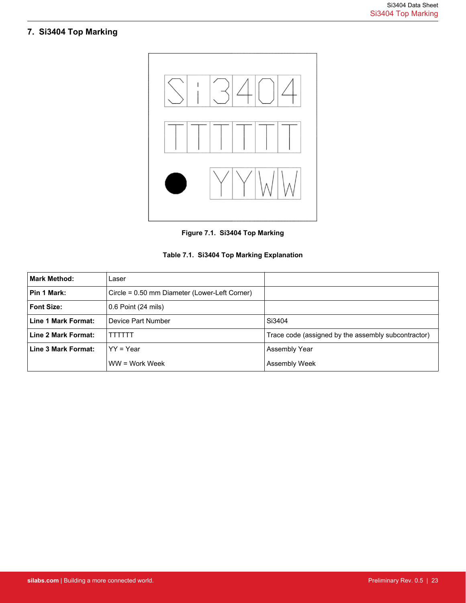# <span id="page-22-0"></span>**7. Si3404 Top Marking**



**Figure 7.1. Si3404 Top Marking**

|  |  |  |  | Table 7.1. Si3404 Top Marking Explanation |
|--|--|--|--|-------------------------------------------|
|--|--|--|--|-------------------------------------------|

| <b>Mark Method:</b> | Laser                                         |                                                     |
|---------------------|-----------------------------------------------|-----------------------------------------------------|
| Pin 1 Mark:         | Circle = 0.50 mm Diameter (Lower-Left Corner) |                                                     |
| <b>Font Size:</b>   | 0.6 Point (24 mils)                           |                                                     |
| Line 1 Mark Format: | Device Part Number                            | Si3404                                              |
| Line 2 Mark Format: | TTTTTT                                        | Trace code (assigned by the assembly subcontractor) |
| Line 3 Mark Format: | $YY = Year$                                   | Assembly Year                                       |
|                     | $WW = Work Week$                              | Assembly Week                                       |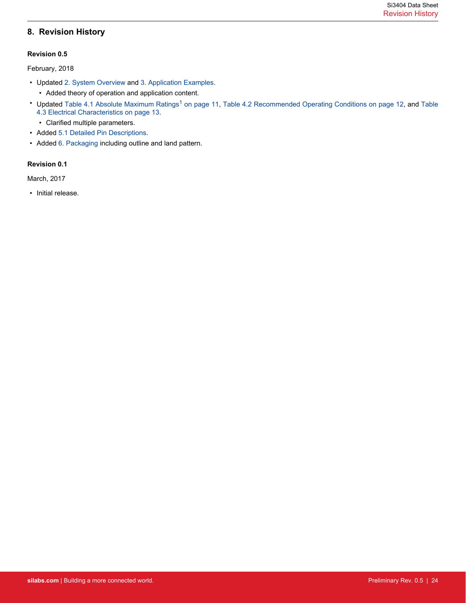## <span id="page-23-0"></span>**8. Revision History**

#### **Revision 0.5**

February, 2018

- Updated [2. System Overview](#page-3-0) and [3. Application Examples.](#page-8-0)
	- Added theory of operation and application content.
- Updated [Table 4.1 Absolute Maximum Ratings](#page-10-0)<sup>[1](#page-10-0)</sup> on page 11, [Table 4.2 Recommended Operating Conditions on page 12](#page-11-0), and [Table](#page-12-0) [4.3 Electrical Characteristics on page 13](#page-12-0).
	- Clarified multiple parameters.
- Added [5.1 Detailed Pin Descriptions](#page-15-0).
- Added [6. Packaging](#page-18-0) including outline and land pattern.

#### **Revision 0.1**

March, 2017

• Initial release.